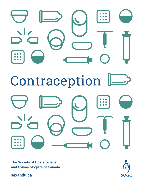

The Society of Obstetricians and Gynaecologists of Canada

**<sexandu.ca>**

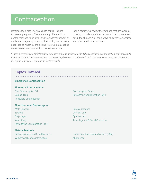## Contraception

Contraception, also known as birth control, is used to prevent pregnancy. There are many different birth control methods to help you and your partner prevent an unplanned pregnancy. You may be starting with a pretty good idea of what you are looking for, or you may not be sure where to start – or which method to choose.

In this section, we review the methods that are available to help you understand the options and help you narrow down the choices. You can always talk over your choices with your health care provider.

\**These summaries are for information purposes only and are incomplete. When considering contraception, patients should review all potential risks and benefits on a medicine, device or procedure with their health care providers prior to selecting the option that is most appropriate for their needs.*

## Topics Covered

#### **[Emergency Contraception](#page-2-0)**

#### **[Hormonal Contraception](#page-3-0)**

[Oral Contraceptive Pill](#page-4-0) [Contraceptive Patch](#page-6-0) [Injectable Contraception](#page-10-0)

#### **Non-Hormonal Contraception**

[Male Condom](#page-12-0) [Female Condom](#page-13-0) [Sponge](#page-14-0) [Cervical Cap](#page-15-0)acity of Cervical Capacity of Cervical Capacity of Cervical Capacity of Cervical Capacity of Cervical Capacity of Cervical Capacity of Cervical Capacity of Cervical Capacity of Cervical Capacity of Cervi [Diaphragm](#page-16-0) [Spermicides](#page-17-0) and the state of the Spermicides Spermicides [Vasectomy](#page-18-0) [Tubal Ligation & Tubal Occlusion](#page-19-0) [Intrauterine Contraception \(IUC\)](#page-21-0) 

#### **[Natural Methods](#page-23-0)**

[Withdrawal \(Coitus interruptus\)](#page-26-0) and a substinue of [Abstinence](#page-27-0)

[Vaginal Ring](#page-7-0) Intrauterine Contraception (IUC)

[Fertility-Awareness Based Methods](#page-24-0) [Lactational Amenorrhea Method \(LAM\)](#page-25-0)

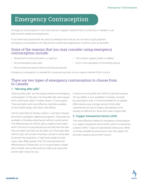## <span id="page-2-0"></span>Emergency Contraception

Emergency contraception is not to be used as a regular method of birth control but, if needed, it can help prevent unplanned pregnancies.

If you have had unprotected sex and you already know that you do not want to get pregnant, emergency contraception can help prevent unplanned pregnancies if used as soon as possible.

## Some of the reasons that you may consider using emergency contraception include:

- Missed birth control pill, patch, or injection
- The condom slipped, broke, or leaked

- No contraception was used
- Non-consensual sexual intercourse (sexual assault)
- Error in the calculation of the fertility period

*Emergency contraception is intended for occasional use only, not as a regular method of birth control.*

## There are two types of emergency contraception to choose from in Canada:

### **1. "Morning after pills"**

"Morning after pills" are the original method of emergency contraception. In the past, morning after pills were regular birth control pills, taken in higher doses, 12 hours apart. There are better and more effective methods available on the market today, with fewer side effects.

LNG-EC pills (Plan B, Norlevo, Option 2, and Next Choice) all contain a progestin called levonorgestrel. These pills are available in Canadian pharmacies without a prescription. The effectiveness of LNG-EC pills is highest when taken within 24 hours of unprotected sex and declines the later they are taken; but they can be taken up to five days later. LNG-EC pills will not harm the fetus, should it not be able to prevent the pregnancy. A high body weight (a body mass index (BMI) greater than 25) may decrease the effectiveness of these pills, so it is a good idea to speak with a health care professional to make sure these pills are the right choice for you.

A second morning after pill, UPA-EC (Ulipristal acetate 30 mg, ella®), is now available in Canada, currently by prescription only. It is recommended for its greater effectiveness over a longer period of time after unprotected sex (up to 5 days) and appears to be equally as effective for those who have a higher BMI.

## **2. Copper Intrauterine Device (IUD)**

The most effective method of emergency contraception is a copper intrauterine device (IUD), which is inserted by a doctor within 7 days of unprotected intercourse. While currently available by prescription only, the copper IUD provides ongoing secure birth control.

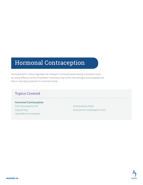# <span id="page-3-0"></span>Hormonal Contraception

Hormonal birth control regulates the change in hormone levels during a woman's cycle by using different forms of synthetic hormones that mimic the estrogen and progesterone that is naturally produced in a woman's body.

## Topics Covered

**Hormonal Contraception** [Oral Contraceptive Pill](#page-4-0) Contraceptive Pill [Contraceptive Patch](#page-6-0) [Injectable Contraception](#page-10-0)

[Vaginal Ring](#page-7-0) [Intrauterine Contraception \(IUC\)](#page-8-0)

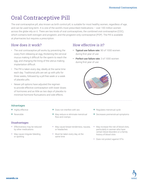## <span id="page-4-0"></span>Oral Contraceptive Pill

The oral contraceptive pill, also known as birth control pill, is suitable for most healthy women, regardless of age, and can be used long-term. It is one of the world's most prescribed medications – over 100 million women across the globe rely on it. There are two kinds of oral contraceptives, the combined oral contraceptive (COC), which contains both estrogen and progestin, and the progestin-only contraceptive (POP). The Pill is available at pharmacies but requires a prescription.

## How does it work?

- The oral contraceptive pill works by preventing the ovary from releasing an egg, thickening the cervical mucus making it difficult for the sperm to reach the egg, and changing the lining of the uterus making implantation difficult.
- The Pill is taken every day, ideally at the same time each day. Traditional pills are set up with pills for three weeks, followed by a pill-free week or a week of placebo pills.
- Newer pill options have adjusted the regimen to provide effective contraception with lower doses of hormones and as little as two days of placebo to minimize hormone fluctuations and side effects.

## How effective is it?

- **• Typical use failure rate:** 90 of 1000 women during first year of use
- **• Perfect use failure rate:** 3 of 1000 women during first year of use



#### Advantages

- **+** Highly effective
- **+** Reversible

- Effectiveness may be reduced by other medications
- May cause irregular bleeding or spotting
- **+** Does not interfere with sex
- **+** May reduce or eliminate menstrual flow and cramps
- May cause breast tenderness, nausea, or headaches
- Must be taken every day, at the same time
- **+** Regulates menstrual cycle
- **+** Decreases premenstrual symptoms
- May increase the risk of blood clots, particularly in women who have certain blood disorders or a family history of blood clots
- Does not protect against STIs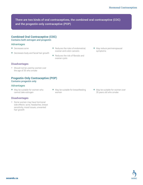There are two kinds of oral contraceptives, the combined oral contraceptive (COC) and the progestin-only contraceptive (POP)

#### **Combined Oral Contraceptive (COC)** Contains both estrogen and progestin

#### Advantages

- **+** Decreases acne
- **+** Decreases body and facial hair growth
- **+** Reduces the risks of endometrial, ovarian and colon cancers
- **+** Reduces the risk of fibroids and ovarian cysts
- **+** May reduce perimenopausal symptoms

#### Disadvantages

- Should not be used by women over the age of 35 who smoke

### **Progestin-Only Contraceptive (POP)** Contains progestin only

#### Advantages

**+** May be suitable for women who cannot take estrogen

- Some women may have hormonal side effects: acne, headaches, breast sensitivity, mood issues, unwanted hair growth
- **+** May be suitable for breastfeeding women
- **+** May be suitable for women over 35 years old who smoke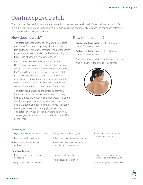## <span id="page-6-0"></span>Contraceptive Patch

The contraceptive patch is a contraception method that has been available in Canada since January 2004. It is a 4 x 4 cm beige patch that sticks to a woman's skin and continuously releases the hormones estrogen and progestin into the bloodstream.

## How does it work?

- The patch prevents pregnancy primarily by stopping the ovaries from releasing an egg, but it may also thicken the cervical mucus (making it harder for sperm to get into the uterus) and make the uterine lining thin. Its method of action is very similar to the Pill.
- Each patch is worn on the skin for seven days. One patch is worn each week for 3 weeks. The patch should be changed on the same day each week (called the "Patch Change Day"). The fourth week is patchfree, allowing a period to occur. The patch should never be off for more than seven days. Following the seven patch-free days, a new cycle is started when you apply a new patch on your Patch Change Day.
- The patch can be worn on the buttocks, stomach, back or upper arms, but not on the breasts. It may help to change the location a bit each week. The patch should be applied to clean, dry skin. You should not use any creams or lotions near a patch you're already wearing, or where you'll be applying a new one. The patch is very "sticky". You can exercise, shower, swim or go in a sauna or hot tub and it still sticks 98% of the time!

## How effective is it?

- **• Typical use failure rate:** 90 of 1000 women during first year of use
- **• Perfect use failure rate:** 3 of 1000 women during first year of use
- The patch may be a bit less effective in women who weigh more than 90 kg (198 pounds)



### Advantages

- **+** Highly effective, reversible and safe
- **+** Does not interfere with sex
- **+** May reduce menstrual flow and cramps

### **Disadvantages**

- May cause irregular bleeding or spotting
- May cause breast tenderness,
- **+** Regulates menstrual cycle
- **+** Decreases premenstrual symptoms
- **+** Reduces the risks of endometrial, ovarian and colon cancers

nausea, or headaches

- May cause skin irritation

- **+** Reduces the risk of fibroids and ovarian cysts
- May be less effective in women who weigh more than 90 kg
- Does not protect against STIs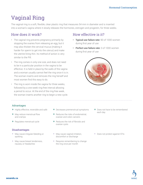## <span id="page-7-0"></span>Vaginal Ring

The vaginal ring is a soft, flexible, clear plastic ring that measures 54 mm in diameter and is inserted into a woman's vagina where it slowly releases the hormones, estrogen and progestin, for three weeks.

## How does it work?

- The vaginal ring prevents pregnancy primarily by stopping the ovaries from releasing an egg, but it may also thicken the cervical mucus (making it harder for sperm to get into the uterus) and make the uterine lining thin. Its method of action is very similar to the Pill.
- The ring comes in only one size, and does not need to be in a particular position in the vagina to be effective. It is held in place by the walls of the vagina and a woman usually cannot feel the ring once it is in. The woman inserts and removes the ring herself and most women find this easy to do.
- The ring is worn inside the vagina for three weeks, followed by a one-week ring-free interval allowing a period to occur. At the end of the ring-free week, the woman inserts another ring to begin a new cycle.

## How effective is it?

- **• Typical use failure rate:** 90 of 1000 women during first year of use
- **• Perfect use failure rate:** 3 of 1000 women during first year of use



#### Advantages

- **+** Highly effective, reversible and safe
- **+** May reduce menstrual flow and cramps
- **+** Regulates menstrual cycle

### **Disadvantages**

- May cause irregular bleeding or spotting
- May cause breast tenderness, nausea, or headaches
- **+** Decreases premenstrual symptoms
- **+** Reduces the risks of endometrial, ovarian and colon cancers
- **+** Reduces the risk of fibroids and ovarian cysts
- May cause vaginal irritation, discomfort or discharge
- Requires remembering to change the ring once per month

**+** Does not have to be remembered each day

- Does not protect against STIs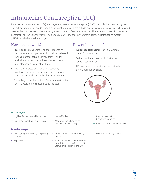## <span id="page-8-0"></span>Intrauterine Contraception (IUC)

Intrauterine contraceptives (IUCs) are long-acting reversible contraceptive (LARC) methods that are used by over 150 million women worldwide. They are the most effective forms of birth control available. IUCs are small T-shaped devices that are inserted in the uterus by a health care professional in a clinic. There are two types of intrauterine contraception: the Copper intrauterine device (Cu-IUD) and the levonorgestrel-releasing intrauterine system (LNG-IUS), which contains a progestin.

## How does it work?

- LNG-IUS: The small cylinder on the IUC contains the hormone levonorgestrel, which is slowly released. The lining of the uterus becomes thinner and the cervical mucus becomes thicker which makes it harder for sperm to enter the uterus.
- The IUC is inserted by a health professional, in a clinic. The procedure is fairly simple, does not require anaesthesia, and only takes a few minutes.
- Depending on the device, the IUC can remain inserted for 3-10 years, before needing to be replaced.

## How effective is it?

- **• Typical use failure rate:** 2 of 1000 women during first year of use
- **• Perfect use failure rate:** 2 of 1000 women during first year of use
- IUCs are one of the most effective methods of contraception available



### Advantages

- **+** Highly effective, reversible and safe
- **+** Long term, forgettable and invisible

- Initially, irregular bleeding or spotting may occur
- Expensive
- **+** Cost-effective
- **+** May be suitable for women who cannot take estrogen
- Some pain or discomfort during insertion
- Rare risks with the insertion could include infection, perforation of the uterus, or expulsion of the IUC
- **+** May be suitable for breastfeeding women
- **+** Reduces risk of endometrial cancer
- Does not protect against STIs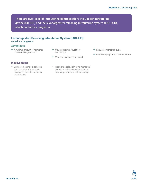There are two types of intrauterine contraception: the Copper intrauterine device (Cu-IUD) and the levonorgestrel-releasing intrauterine system (LNG-IUS), which contains a progestin.

### **Levonorgestrel-Releasing Intrauterine System (LNG-IUS)** contains a progestin

#### Advantages

- **+** A minimal amount of hormones is absorbed in your blood
- **+** May reduce menstrual flow and cramps
- **+** May lead to absence of period
- **+** Regulates menstrual cycle
- **+** Improves symptoms of endometriosis

- Some women may experience hormonal side effects: acne, headaches, breast tenderness, mood issues
- Irregular periods, light or no menstrual periods – which some think of as an advantage, others as a disadvantage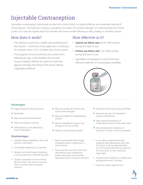## <span id="page-10-0"></span>Injectable Contraception

Injectable contraception, also known as the birth control shot, is a highly effective and reversible method of contraception. The injection contains a progestin, but does not contain estrogen. It is administered four times a year, so it may be a good choice for women who have trouble following a daily, weekly, or monthly routine.

## How does it work?

- The injection is given by a health-care professional in the muscle – commonly in the upper arm or buttocks, of a woman, every 12 to 13 weeks (four times a year).
- The progestin hormone prevents the ovaries from releasing an egg. It also thickens the cervical mucus making it difficult for sperm to reach the egg and changes the lining of the uterus making implantation difficult.

## How effective is it?

- **• Typical use failure rate:** 60 of 1000 women during first year of use
- **• Perfect use failure rate:** 2 of 1000 women during first year of use
- Injectable contraception is one of the most effective methods of contraception available



### Advantages

- **+** Highly effective and long lasting
- **+** Reversible
- **+** Safe, convenient and discreet
- **+** Does not interfere with sex
- **+** Effectiveness is not affected by most medications

- Initially, irregular bleeding is the most common side effect
- Less/lighter bleeding, to no periods
- Heavier and more frequent bleeding, including spotting in between periods
- Causes a decrease in bone mineral density which may return to normal when a woman stops using the injection
- **+** May be suitable for women who cannot take estrogen
- **+** May be suitable for breastfeeding women
- **+** May be suitable for women over the age of 35 who smoke
- **+** Reduces or eliminates periods
- May be associated with change of appetite and/or weight gain in some women
- Some women may have hormonal side effects: acne, headaches, breast sensitivity, mood issues/ depression and a change in sex drive
- **+** Reduces menstrual cramps and PMS
- **+** Reduces the risk of endometrial cancer and fibromas
- **+** May improve symptoms of endometriosis and chronic pelvic pain
- **+** May decrease the incidence of seizures in women who have epilepsy
- It can take a longer time to get pregnant after getting your last shot. For some, it can be approximately 6 to 10 months after the last injection for the ovaries to start releasing eggs again
- Must be administered by a health-care professional every 3 months
- Does not protect against STIs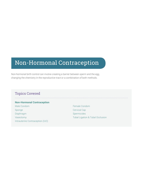## Non-Hormonal Contraception

Non-hormonal birth control can involve creating a barrier between sperm and the egg, changing the chemistry in the reproductive tract or a combination of both methods.

## Topics Covered

#### **Non-Hormonal Contraception**

[Male Condom](#page-12-0) et al. 2006 and 2007 and 2008 and 2008 and 2008 and 2008 and 2008 and 2008 and 2008 and 2008 and 20 [Sponge](#page-14-0) [Cervical Cap](#page-15-0) Cervical Cap [Diaphragm](#page-16-0) [Spermicides](#page-17-0) [Vasectomy](#page-18-0) [Tubal Ligation & Tubal Occlusion](#page-19-0) [Intrauterine Contraception \(IUC\)](#page-21-0)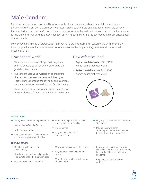## <span id="page-12-0"></span>Male Condom

Male condoms are inexpensive, readily available without a prescription, and used only at the time of sexual activity. They are worn over the penis during sexual intercourse or oral sex and they come in a variety of sizes, thinness, textures, and colours/flavours. They are also available with a wide selection of lubricants on the condom to help enhance sensitivity and pleasure for both partners (i.e. warming/tingling sensations, premium silicone-base, climax-control).

Most condoms are made of latex, but non-latex condoms are also available in polyurethane and polyisoprene. Latex, polyurethane and polyisoprene condoms are also effective for preventing most sexually transmitted infections (STIs).

## How does it work?

- The condom is worn over the penis during sexual activity. It should be put on before any skin-to-skin genital contact occurs.
- The condom acts as a physical barrier preventing direct contact between the penis and the vagina. It prevents the exchange of body fluids and also traps the sperm in the condom so it cannot fertilize the egg.
- The condom is thrown away after intercourse. A new one must be used for each repeated act of intercourse.

## How effective is it?

- **• Typical use failure rate:** 180 of 1000 women during first year of use
- **• Perfect use failure rate:** 20 of 1000 women during first year of use



### Advantages

- **+** Widely available without a prescription
- **+** Inexpensive, safe and effective
- **+** Protect against most STIs
- **+** Non-latex options available for those with latex allergies or sensitivities

- Must be available at time of sexual activity
- Must be stored and handled properly – be sure to check the expiration date
- May reduce sexual spontaneity
- **+** Both partners participate in their use – shared responsibility
- **+** Hormone-free
- **+** May decrease the risk of cervical cancer
- May slip or break during intercourse
- May reduce sensitivity for either partner
- May interfere with the maintenance of an erection
- **+** May help the wearer avoid premature ejaculation
- **+** May be used with other contraception methods to increase their contraceptive effectiveness
- People with latex allergies or latex sensitivity cannot use latex condoms, but may be able to use non-latex condoms
- Requires participation of both partners

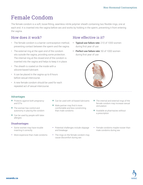# <span id="page-13-0"></span>Female Condom

The female condom is a soft, loose-fitting, seamless nitrile polymer sheath containing two flexible rings, one at each end. It is inserted into the vagina before sex and works by holding in the sperm, preventing it from entering the vagina.

## How does it work?

- The female condom is a barrier contraception method, preventing contact between the sperm and the vagina.
- The external ring at the open end of the condom sits outside the vagina, providing some protection. The internal ring at the closed end of the condom is inserted into the vagina and helps to keep it in place.
- The sheath is coated on the inside with a silicone-based lubricant.
- It can be placed in the vagina up to 8 hours before sexual intercourse.
- A new female condom should be used for each repeated act of sexual intercourse.

## How effective is it?

- **• Typical use failure rate:** 210 of 1000 women during first year of use
- **• Perfect use failure rate:** 50 of 1000 women during first year of use



### Advantages

- **+** Protects against both pregnancy and STIs
- **+** The woman has control and autonomy in placing the condom
- **+** Can be used by people with latex allergies

- Some women may have trouble inserting it correctly
- More expensive than male condoms
- **+** Can be used with oil-based lubricants
- **+** Male partner may find it more comfortable and less constricting than male condoms
- **+** The internal and external rings of the female condom may increase sexual stimulation
- **+** Available at pharmacies without a prescription
- Potential challenges include slippage and breakage
- The rings on the female condom may cause discomfort during sex
- Female condoms maybe noisier than male condoms during sex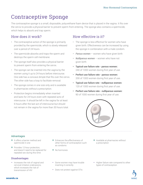# <span id="page-14-0"></span>Contraceptive Sponge

The contraceptive sponge is a small, disposable, polyurethane foam device that is placed in the vagina. It fits over the cervix to provide a physical barrier to prevent sperm from entering. The sponge also contains a spermicide, which helps to absorb and trap sperm.

## How does it work?

- The contraceptive action of the sponge is primarily provided by the spermicide, which is slowly released over a period of 24 hours.
- The spermicide absorbs and traps the sperm and destroys the sperm cell membrane.
- The sponge itself also provides a physical barrier to prevent sperm from entering the cervix.
- The sponge can be inserted into the vagina by the women using it up to 24 hours before intercourse. One side has a concave dimple that fits over the cervix. The other side has a loop to facilitate removal.
- The sponge comes in one size only and is available in pharmacies without a prescription.
- Protection begins immediately when inserted and lasts for 24 hours even with repeated acts of intercourse. It should be left in the vagina for at least 6 hours after the last act of intercourse but should not remain in the vagina for more than 30 hours total.

## How effective is it?

- The sponge is less effective for women who have given birth. Effectiveness can be increased by using the sponge in combination with a male condom.
- *• Parous women* women who have given birth
- *• Nulliparous women* women who have not given birth
- **• Typical use failure rate parous women:** 240 of 1000 women during first year of use.
- **• Perfect use failure rate parous women:** 200 of 1000 women during first year of use.
- **• Typical use failure rate nulliparous women:** 120 of 1000 women during first year of use.
- **• Perfect use failure rate nulliparous women:** 90 of 1000 women during first year of use.



### Advantages

- **+** It offers a barrier method and spermicide in one
- **+** Provides 12-hour protection, and doesn't need to be replaced for repeated sex during this time

- Increases the risk of vaginal and cervical irritation orabrasions, which increases the risk of transmission of HIV
- **+** Enhances the effectiveness of other forms of contraception such as condoms
- **+** No hormones
- Some women may have trouble inserting it correctly
- Does not protect against STIs
- **+** Available at pharmacies without a prescription
- Higher failure rate compared to other types of contraception

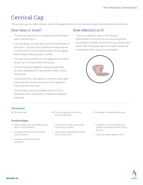# <span id="page-15-0"></span>Cervical Cap

The cervical cap is a deep silicone cap that fits against the cervix and prevents sperm and bacteria from entering.

## How does it work?

- The cervical cap serves as a physical barrier between sperm and the cervix.
- It should always be used with a gel that immobilizes or kills sperm. The gel forms a physical cellulose barrier in front of the cervix and lowers the pH of the vaginal fluid, thereby inhibiting sperm motility.
- The cap can be inserted into the vagina by the women using it up to 2 hours before having sex.
- The gel should be reapplied, using and applicator, for each repeated act of intercourse or after 2 hours has passed.
- It should be left in the vagina for at least 6 hours after intercourse but should not remain in the vagina for more than 48 hours total.
- Cervical caps can be purchased online or from a pharmacy with a prescription. It should be replaced every year.

## How effective is it?

• There is currently no data on the efficacy/ effectiveness of the only cervical cap and gel that is available in Canada. Some preliminary studies have shown that the cervical cap has a higher failure rate compared to other types of contraception.



### Advantages

- Higher failure rate compared to other types of contraception
- Increased risk of recurrent urinary tract infections
- Increased risk of toxic shock syndrome
- **+** No hormones **+** Can be used by women who are breastfeeding
	- Some women may have trouble inserting it correctly
	- Gel must be reapplied after each act of intercourse
- **+** Available in three different sizes
- A poor fit or silicone allergy will prevent some women from using the cap
- Does not protect against STIs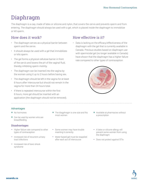# <span id="page-16-0"></span>Diaphragm

The diaphragm is a cap, made of latex or silicone and nylon, that covers the cervix and prevents sperm and from entering. The diaphragm should always be used with a gel, which is placed inside the diaphragm to immobilize or kill sperm.

## How does it work?

- The diaphragm serves as a physical barrier between sperm and the cervix.
- It should always be used with a gel that immobilizes or kills sperm.
- The gel forms a physical cellulose barrier in front of the cervix and lowers the pH of the vaginal fluid, thereby inhibiting sperm motility.
- The diaphragm can be inserted into the vagina by the women using it up to 2 hours before having sex.
- The diaphragm should be left in the vagina for at least 6 hours after intercourse but should not remain in the vagina for more than 24 hours total.
- If there is repeated intercourse within the first 6 hours, more gel should be inserted with an application (the diaphragm should not be removed).

## How effective is it?

• Data is lacking on the efficacy/effectiveness of the diaphragm with the gel that is currently available in Canada. Previous studies based on diaphragm use with spermicidal gel (no longer available in Canada) have shown that the diaphragm has a higher failure rate compared to other types of contraception.



## Advantages

- **+** No hormones
- **+** Can be used by women who are breastfeeding

- Higher failure rate compared to other types of contraception
- Increased risk of recurrent urinary tract infections
- Increased risk of toxic shock syndrome
- **+** The diagphragm is one size and fits most women
- Some women may have trouble inserting it correctly
- Water-based gel must be reapplied after each act of intercourse
- **+** Available at pharmacies without a prescription
- A latex or silicone allergy will prevent some women from using the diaphragm
- Does not protect against STIs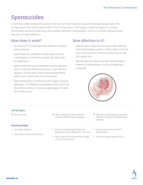# <span id="page-17-0"></span>Spermicides

A chemical called nonoxynol-9 comes in the form of cream (only for use with diaphragms), gel, foam, film, or suppository. By inserting spermicide in front of the cervix, in the vagina, it destroys sperm on contact. Spermicides should be used along with another method of contraception, such as a condom, because alone they are not highly effective.

## How does it work?

- Nonoxynol-9 is a surfactant that destroys the sperm cell membrane.
- Spermicides are available at pharmacies without a prescription, in the form of cream, gel, foam, film, or suppository.
- Spermicidal film must be inserted into the vagina at least 15 minutes before intercourse. It will melt and disperse. If more than 3 hours have passed before intercourse, another film must be inserted.
- Spermicidal foam is inserted into the vagina using an applicator. It is effective immediately and for up to one hour after insertion. It must be applied again for each act of intercourse.

## How effective is it?

- Vaginal spermicides are among the least effective of all contraception options. Failure rates in the first year of use vary from 18% with perfect use to 28% with typical use.
- Spermicides should be used with another barrier method of contraception, such as a diaphragm or sponge.



### Advantages

- Not highly effective
- Using spermicide can be messy
- **+** No hormones **+** When used with another barrier method, effectiveness increases
	- Must be inserted right before sex, because it's only effective for one hour
	- May irritate the entrance of the vagina or the tip of the penis
- **+** May also protect against bacterial infections and pelvic inflammatory disease
- May increase the riskof HIV transmission
- Does not protect against STIs

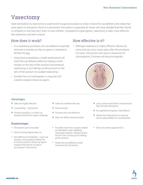## <span id="page-18-0"></span>Vasectomy

Male sterilization by vasectomy is a permanent surgical procedure to close or block the vas deferens (the tubes that carry sperm to the penis). Since it is permanent, this option is especially for those who have decided that their family is complete or that they don't want to have children. Compared to tubal ligation, vasectomy is safer, more effective, less expensive, and less invasive.

## How does it work?

- In a vasectomy procedure, the vas deferens is partially removed or blocked, so that no sperm is released to fertilize the egg.
- Using local anaesthesia, a health professional will reach the vas deferens either by making a small incision on the skin of the scrotum (conventional vasectomy) or by making a small puncture on the skin of the scrotum (no-scalpel vasectomy).
- Another form of contraception is required until a semen analysis shows no sperm.

## How effective is it?

• Although vasectomy is highly effective, failures do occur and can occur many years after the procedure. For every 100 women who rely on vasectomy for contraception, 2 women will become pregnant.



### Advantages

- **+** Safe and highly effective
- **+** Long-lasting permanent
- **+** Simple procedure, no follow up required (aside from sperm analysis)

- Permanent and irreversible
- Risk of having regrets later on
- Not effective immediately -must use another contraception method for 3 months and do a follow-up sperm analysis that shows no sperm are present in the semen
- **+** Does not interfere with sex
- **+** No hormones
- **+** Discreet and cost-effective
- **+** Does not affect sexual function
- Possible short-term surgery-related complications: pain, bleeding, vasovagal reaction, infection at the incision site, bruising and swelling of the scrotum
- Rarely, the vas deferens could reconnect by themselves
- **+** Less invasive and fewer complications than female sterilization
- **+** No significant long-term side effects
- **+** Allows the male partner to assume some responsibility for contraception
- Does not protect against STIs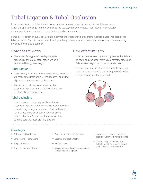# <span id="page-19-0"></span>Tubal Ligation & Tubal Occlusion

Female sterilization by tubal ligation is a permanent surgical procedure where the two fallopian tubes, which transport the eggs from the ovaries to the uterus, get disconnected. Tubal ligation is considered permanent, because reversal is costly, difficult, and not guaranteed.

Female sterilization by tubal occlusion is a permanent procedure where a micro-insert is placed into each of the fallopian tubes. The micro-inserts work with your body to form a natural barrier that keeps sperm from reaching the eggs, preventing pregnancy.

## How does it work?

• There are a few types of one-day surgeries/ procedures for female sterilization, which is performed by a gynaecologist:

### **Tubal ligation:**

- Laparoscopy using a general anesthesia, the doctor will make small incisions over the abdomen and either clip, burn or remove the fallopian tubes.
- Abdominally during a caesarean section, a gynaecologist can access the fallopian tubes to either clip or remove them.

### **Tubal occlusion:**

• Hysteroscopy – using only local anesthesia, a gynaecologist will put micro-inserts in your fallopian tubes through a vaginal approach. It takes 3 months for this method to be effective, at which time a confirmation test (e.g. x-ray, ultrasound) is done to make sure the tubes are fully blocked.

## How effective is it?

- Although female sterilization is highly effective, failures do occur and can occur many years after the procedure. Failure rates vary on which technique is used.
- Be sure to review the latest data available with your health care provider before selecting the option that is most appropriate for your needs.



### Advantages

- **+** Safe and highly effective
- **+** Long-lasting permanent
- **+** Simple procedure
- **+** Does not interfere with sex
- **+** Does not affect sexual function
- **+** Discreet and cost-effective
- **+** No hormones
- **+** May reduce the risk of ovarian cancer (specific to tubal ligation)
- **+** No incisions or scars (specific to tubal occlusion with micro-inserts)
- **+** Can be safely performed in an outpatient setting (specific totubal occlusion with micro-inserts)

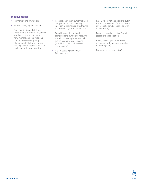- Permanent and irreversible
- Risk of having regrets later on
- Not effective immediately when micro-inserts are used – must use another contraception method for 3 months and do a follow-up confirmation test (e.g. x-ray, ultrasound) that shows if tubes are fully blocked (specific to tubal occlusion with micro-inserts)
- Possible short-term surgery-related complications: pain, bleeding, infection at the incision site, trauma to adjacent organs in the abdomen
- Possible procedure-related complications during and following the micro-inserts placement: pain, cramping and vaginal bleeding (specific to tubal occlusion with micro-inserts)
- Risk of ectopic pregnancy if failure occurs
- Rarely, risk of not being able to put in the micro-inserts or of them slipping out (specific to tubal occlusion with micro-inserts)
- Follow-up may be required (x-ray) (specific to tubal ligation)
- Rarely, the fallopian tubes could reconnect by themselves (specific to tubal ligation)
- Does not protect against STIs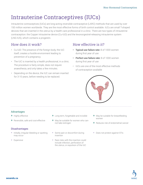# <span id="page-21-0"></span>Intrauterine Contraceptives (IUCs)

Intrauterine contraceptives (IUCs) are long-acting reversible contraceptive (LARC) methods that are used by over 150 million women worldwide. They are the most effective forms of birth control available. IUCs are small T-shaped devices that are inserted in the uterus by a health care professional in a clinic. There are two types of intrauterine contraception: the Copper intrauterine device (Cu-IUD) and the levonorgestrel-releasing intrauterine system (LNG-IUS), which contains a progestin.

## How does it work?

- Cu-IUD: The presence of the foreign body, the IUC itself, creates a hostile environment leading to prevention of a pregnancy.
- The IUC is inserted by a health professional, in a clinic. The procedure is fairly simple, does not require anaesthesia, and only takes a few minutes.
- Depending on the device, the IUC can remain inserted for 3-10 years, before needing to be replaced.

## How effective is it?

- **• Typical use failure rate:** 8 of 1000 women during first year of use
- **• Perfect use failure rate:** 8 of 1000 women during first year of use
- IUCs are one of the most effective methods of contraception available



### Advantages

- **+** Highly effective
- **+** Reversible, safe and cost-effective

- Initially, irregular bleeding or spotting may occur
- Expensive
- **+** Long term, forgettable and invisible
- **+** May be suitable for women who cannot take estrogen
- Some pain or discomfort during insertion
- Rare risks with the insertion could include infection, perforation of the uterus, or expulsion of the IUC
- **+** May be suitable for breastfeeding women
- **+** Reduces risk of endometrial cancer
- Does not protect against STIs

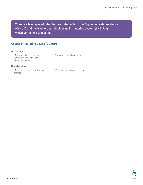There are two types of intrauterine contraception: the Copper intrauterine device (Cu-IUD) and the levonorgestrel-releasing intrauterine system (LNG-IUS), which contains a progestin.

### **Copper Intrauterine Device (Cu-IUD)**

#### Advantages

**+** May be used as emergency contraception within 7 days of unprotected sex

- May increase menstrual flow and May increase pain during periods cramps
- **+** Does not contain hormones
-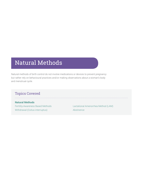## <span id="page-23-0"></span>Natural Methods

Natural methods of birth control do not involve medications or devices to prevent pregnancy but rather rely on behavioural practices and/or making observations about a woman's body and menstrual cycle.

## Topics Covered

**Natural Methods**

. . . . . . . . . . . . . . . . .

[Withdrawal \(Coitus interruptus\)](#page-26-0) and a substinuity of [Abstinence](#page-27-0)

[Fertility-Awareness Based Methods](#page-24-0) [Lactational Amenorrhea Method \(LAM\)](#page-25-0)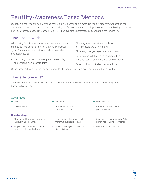# <span id="page-24-0"></span>Fertility-Awareness Based Methods

Ovulation is the time during a woman's menstrual cycle when she is most likely to get pregnant. Conception can occur when sexual intercourse takes place during the fertile window, from 5 days before to 1 day following ovulation. Fertility awareness-based methods (FABs) rely upon avoiding unprotected sex during this fertile window.

## How does it work?

When using fertility awareness-based methods, the first thing to do is to become familiar with your menstrual cycle. There are several methods to determine when ovulation occurs:

- Measuring your basal body temperature every day and charting it on a special form;
- Checking your urine with an ovulation kit to measure the LH hormone;
- Observing changes in your cervical mucus;
- Using an app to follow the calendar method and track your menstrual cycles and ovulation;
- Or a combination of all of these methods.

Using these methods, you can calculate your fertile window and then avoid having sex during this time.

## How effective is it?

24 out of every 100 couples who use fertility awareness-based methods each year will have a pregnancy, based on typical use.

### Advantages

- **+** Safe
- **+** No side effects

- This method is the least effective in preventing pregnancy
- Requires a lot of practice to learn how to use this method correctly
- **+** Little cost
- **+** These methods are considered natural
- It can be tricky, because not all menstrual cycles are regular
- Can be challenging to avoid sex at certain times
- **+** No hormones
- **+** Allows you to learn about your own body
- Requires both partners to be fully committed to using the method
- Does not protect against STIs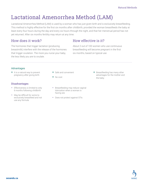# <span id="page-25-0"></span>Lactational Amenorrhea Method (LAM)

Lactational Amenorrhea Method (LAM) is used by a woman who has just given birth and is exclusively breastfeeding. This method is highly effective for the first six months after childbirth, provided the woman breastfeeds the baby at least every four hours during the day and every six hours through the night, and that her menstrual period has not yet returned. After six months fertility may return at any time.

## How does it work?

The hormones that trigger lactation (producing breastmilk) interfere with the release of the hormones that trigger ovulation. The more you nurse your baby, the less likely you are to ovulate.

## How effective is it?

About 2 out of 100 women who use continuous breastfeeding will become pregnant in the first six months, based on typical use.

### Advantages

**+** It is a natural way to prevent pregnancy after giving birth

### **Disadvantages**

- Effectiveness is limited to only 6 months following childbirth
- May be difficult for some to exclusively breastfeed and not use any formula
- **+** Safe and convenient
- **+** No cost
- Breastfeeding may reduce vaginal lubrication when a woman is having sex
- Does not protect against STIs

**+** Breastfeeding has many other advantages for the mother and the baby.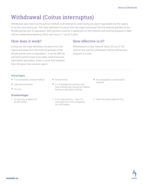# <span id="page-26-0"></span>Withdrawal (Coitus interruptus)

Withdrawal, also known as the pull out method, is an attempt to avoid having any sperm ejaculated into the vagina or on the vulva during sex. The male withdraws his penis from the vagina and away from the external genitalia of the female partner prior to ejaculation. Both partners must be in agreement on this method, and must be prepared to deal with an unplanned pregnancy, which can occur in 1 out of 5 users.

## How does it work?

During sex, the male withdraws his penis from the vagina and away from the external genitalia of the female partner prior to ejaculation. It can be difficult and both partners have to be really careful because right before ejaculation, there is some fluid released from the penis that contains sperm.

## How effective is it?

Withdrawal is a risky method. About 22 out of 100 women who use the withdrawal method will become pregnant in a year.

### Advantages

- **+** It is considered a natural method
- **+** Safe and convenient
- **+** No cost

#### **Disadvantages**

- It's not easy, it takes a lot of self-control

- **+** No hormones
- **+** It is immediate for partners who have entered into a sexual act without having an alternative method
- $-$  It is a risky practice  $-$  even if a man pulls out in time, pregnancy can still happen
- **+** No consultation or prescription required
- Does not protect against STIs